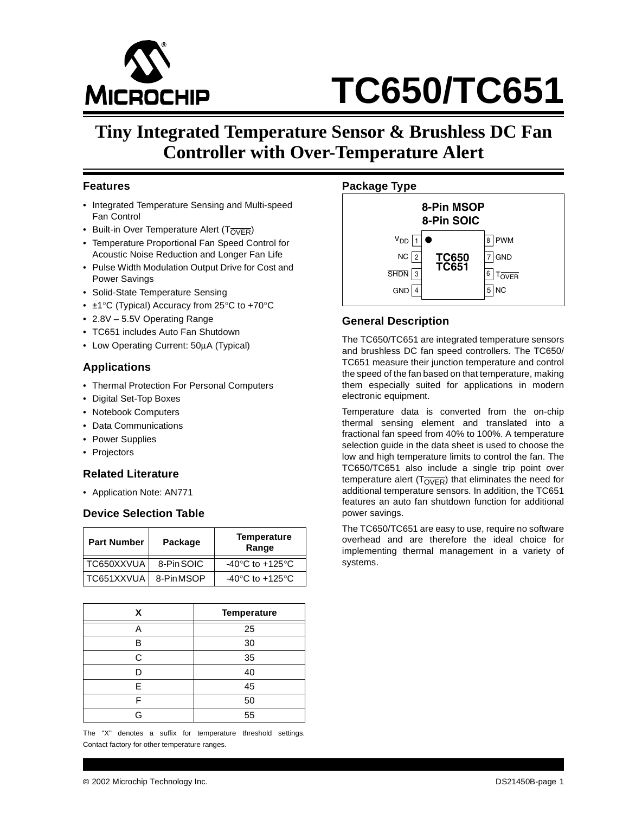

# **TC650/TC651**

## **Tiny Integrated Temperature Sensor & Brushless DC Fan Controller with Over-Temperature Alert**

#### **Features**

- Integrated Temperature Sensing and Multi-speed Fan Control
- Built-in Over Temperature Alert ( $T_{\overline{OVER}}$ )
- Temperature Proportional Fan Speed Control for Acoustic Noise Reduction and Longer Fan Life
- Pulse Width Modulation Output Drive for Cost and Power Savings
- Solid-State Temperature Sensing
- ±1°C (Typical) Accuracy from 25°C to +70°C
- 2.8V 5.5V Operating Range
- TC651 includes Auto Fan Shutdown
- Low Operating Current: 50µA (Typical)

#### **Applications**

- Thermal Protection For Personal Computers
- Digital Set-Top Boxes
- Notebook Computers
- Data Communications
- Power Supplies
- Projectors

#### **Related Literature**

• Application Note: AN771

#### **Device Selection Table**

| <b>Part Number</b> | Package    | <b>Temperature</b><br>Range         |
|--------------------|------------|-------------------------------------|
| TC650XXVUA         | 8-Pin SOIC | -40 $\degree$ C to +125 $\degree$ C |
| TC651XXVUA         | 8-PinMSOP  | -40 $\degree$ C to +125 $\degree$ C |

| x | <b>Temperature</b> |
|---|--------------------|
|   | 25                 |
| в | 30                 |
| C | 35                 |
|   | 40                 |
| F | 45                 |
| F | 50                 |
| G | 55                 |

The "X" denotes a suffix for temperature threshold settings. Contact factory for other temperature ranges.





#### **General Description**

The TC650/TC651 are integrated temperature sensors and brushless DC fan speed controllers. The TC650/ TC651 measure their junction temperature and control the speed of the fan based on that temperature, making them especially suited for applications in modern electronic equipment.

Temperature data is converted from the on-chip thermal sensing element and translated into a fractional fan speed from 40% to 100%. A temperature selection guide in the data sheet is used to choose the low and high temperature limits to control the fan. The TC650/TC651 also include a single trip point over temperature alert ( $T_{\overline{OVER}}$ ) that eliminates the need for additional temperature sensors. In addition, the TC651 features an auto fan shutdown function for additional power savings.

The TC650/TC651 are easy to use, require no software overhead and are therefore the ideal choice for implementing thermal management in a variety of systems.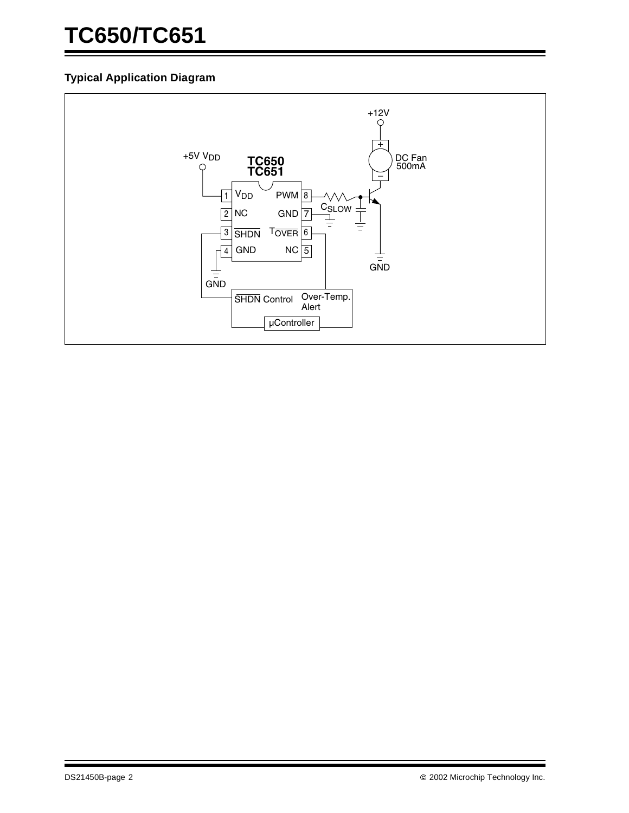## **TC650/TC651**

#### **Typical Application Diagram**

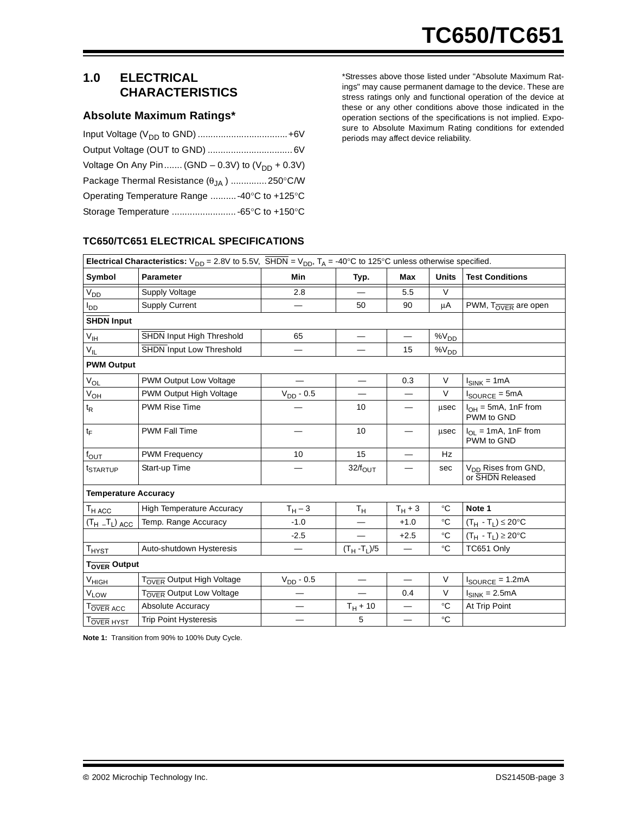#### **1.0 ELECTRICAL CHARACTERISTICS**

#### **Absolute Maximum Ratings\***

| Voltage On Any Pin  (GND – 0.3V) to $(V_{DD} + 0.3V)$ |  |
|-------------------------------------------------------|--|
| Package Thermal Resistance $(\theta_{JA})$ 250°C/W    |  |
| Operating Temperature Range -40°C to +125°C           |  |
|                                                       |  |

\*Stresses above those listed under "Absolute Maximum Ratings" may cause permanent damage to the device. These are stress ratings only and functional operation of the device at these or any other conditions above those indicated in the operation sections of the specifications is not implied. Exposure to Absolute Maximum Rating conditions for extended periods may affect device reliability.

#### **TC650/TC651 ELECTRICAL SPECIFICATIONS**

| <b>Electrical Characteristics:</b> $V_{DD} = 2.8V$ to 5.5V, $\overline{SHDN} = V_{DD}$ , $T_A = -40^{\circ}\text{C}$ to 125°C unless otherwise specified. |                                       |                          |                         |                          |                 |                                                     |
|-----------------------------------------------------------------------------------------------------------------------------------------------------------|---------------------------------------|--------------------------|-------------------------|--------------------------|-----------------|-----------------------------------------------------|
| Symbol                                                                                                                                                    | <b>Parameter</b>                      | Min                      | Typ.                    | Max                      | <b>Units</b>    | <b>Test Conditions</b>                              |
| $V_{DD}$                                                                                                                                                  | Supply Voltage                        | 2.8                      |                         | 5.5                      | V               |                                                     |
| $I_{DD}$                                                                                                                                                  | <b>Supply Current</b>                 | —                        | 50                      | 90                       | μA              | PWM, TOVER are open                                 |
| <b>SHDN Input</b>                                                                                                                                         |                                       |                          |                         |                          |                 |                                                     |
| $V_{\text{IH}}$                                                                                                                                           | SHDN Input High Threshold             | 65                       |                         | $\overline{\phantom{m}}$ | $\%V_{DD}$      |                                                     |
| $V_{IL}$                                                                                                                                                  | SHDN Input Low Threshold              |                          |                         | 15                       | $\%V_{DD}$      |                                                     |
| <b>PWM Output</b>                                                                                                                                         |                                       |                          |                         |                          |                 |                                                     |
| $\mathrm{V}_{\mathrm{OL}}$                                                                                                                                | PWM Output Low Voltage                |                          |                         | 0.3                      | $\vee$          | $I_{SINK} = 1mA$                                    |
| $V_{OL}$                                                                                                                                                  | PWM Output High Voltage               | $V_{DD}$ - 0.5           |                         |                          | $\vee$          | $I_{\text{SOURCE}} = 5 \text{mA}$                   |
| $t_{\mathsf{R}}$                                                                                                                                          | <b>PWM Rise Time</b>                  |                          | 10                      |                          | $\mu$ sec       | $I_{OH} = 5mA$ , 1nF from<br>PWM to GND             |
| $t_F$                                                                                                                                                     | <b>PWM Fall Time</b>                  |                          | 10                      |                          | usec            | $I_{OL}$ = 1mA, 1nF from<br>PWM to GND              |
| $f_{\text{OUT}}$                                                                                                                                          | <b>PWM Frequency</b>                  | 10                       | 15                      |                          | Hz              |                                                     |
| t <sub>STARTUP</sub>                                                                                                                                      | Start-up Time                         |                          | $32/f_{\text{OUT}}$     |                          | sec             | V <sub>DD</sub> Rises from GND,<br>or SHDN Released |
| <b>Temperature Accuracy</b>                                                                                                                               |                                       |                          |                         |                          |                 |                                                     |
| $T_{HACC}$                                                                                                                                                | <b>High Temperature Accuracy</b>      | $T_H - 3$                | $\mathsf{T}_\mathsf{H}$ | $T_H + 3$                | $^{\circ}C$     | Note 1                                              |
| $(T_H - T_L)$ ACC                                                                                                                                         | Temp. Range Accuracy                  | $-1.0$                   |                         | $+1.0$                   | °C              | $(T_H - T_L) \leq 20$ °C                            |
|                                                                                                                                                           |                                       | $-2.5$                   |                         | $+2.5$                   | $\rm ^{\circ}C$ | $(T_H - T_L) \ge 20$ °C                             |
| $T_{HYST}$                                                                                                                                                | Auto-shutdown Hysteresis              |                          | $(T_H - T_L)/5$         |                          | $\rm ^{\circ}C$ | TC651 Only                                          |
| T <sub>OVER</sub> Output                                                                                                                                  |                                       |                          |                         |                          |                 |                                                     |
| $V_{HI\underline{GH}}$                                                                                                                                    | T <sub>OVER</sub> Output High Voltage | $V_{DD}$ - 0.5           |                         |                          | $\vee$          | $I_{\text{SOURCE}} = 1.2 \text{mA}$                 |
| $V_{L\underline{OW}}$                                                                                                                                     | T <sub>OVER</sub> Output Low Voltage  |                          |                         | 0.4                      | $\vee$          | $I_{SINK} = 2.5mA$                                  |
| T <sub>OVER</sub> ACC                                                                                                                                     | Absolute Accuracy                     | $\overline{\phantom{0}}$ | $T_H + 10$              | $\overline{\phantom{0}}$ | $\rm ^{\circ}C$ | At Trip Point                                       |
| T <sub>OVER HYST</sub>                                                                                                                                    | <b>Trip Point Hysteresis</b>          |                          | 5                       |                          | $^{\circ}C$     |                                                     |

**Note 1:** Transition from 90% to 100% Duty Cycle.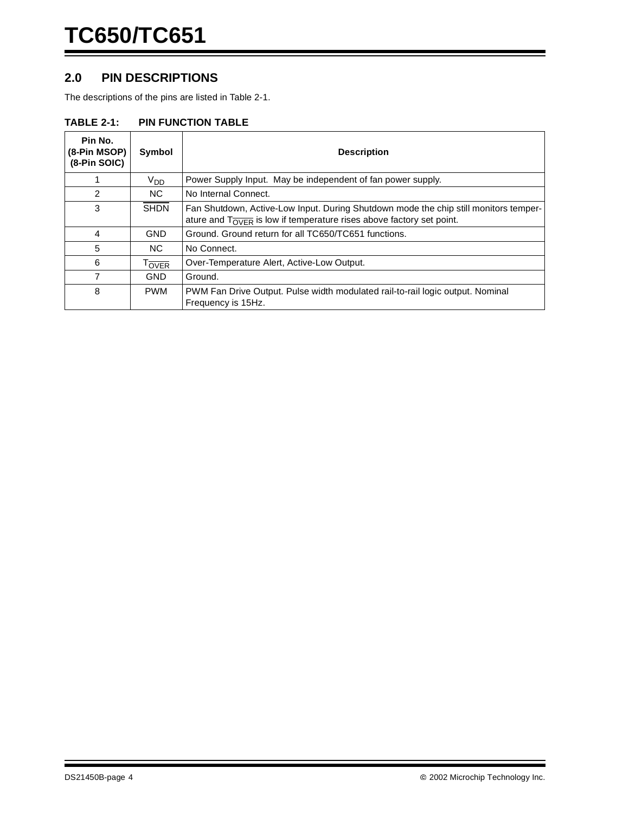#### **2.0 PIN DESCRIPTIONS**

The descriptions of the pins are listed in Table 2-1.

#### **TABLE 2-1: PIN FUNCTION TABLE**

| Pin No.<br>(8-Pin MSOP)<br>(8-Pin SOIC) | Symbol            | <b>Description</b>                                                                                                                                                                  |
|-----------------------------------------|-------------------|-------------------------------------------------------------------------------------------------------------------------------------------------------------------------------------|
|                                         | V <sub>DD</sub>   | Power Supply Input. May be independent of fan power supply.                                                                                                                         |
| 2                                       | NC.               | No Internal Connect.                                                                                                                                                                |
| 3                                       | <b>SHDN</b>       | Fan Shutdown, Active-Low Input. During Shutdown mode the chip still monitors temper-<br>ature and $T_{\overline{\text{OVER}}}$ is low if temperature rises above factory set point. |
| 4                                       | <b>GND</b>        | Ground. Ground return for all TC650/TC651 functions.                                                                                                                                |
| 5                                       | NC.               | No Connect.                                                                                                                                                                         |
| 6                                       | T <sub>OVER</sub> | Over-Temperature Alert, Active-Low Output.                                                                                                                                          |
|                                         | <b>GND</b>        | Ground.                                                                                                                                                                             |
| 8                                       | <b>PWM</b>        | PWM Fan Drive Output. Pulse width modulated rail-to-rail logic output. Nominal<br>Frequency is 15Hz.                                                                                |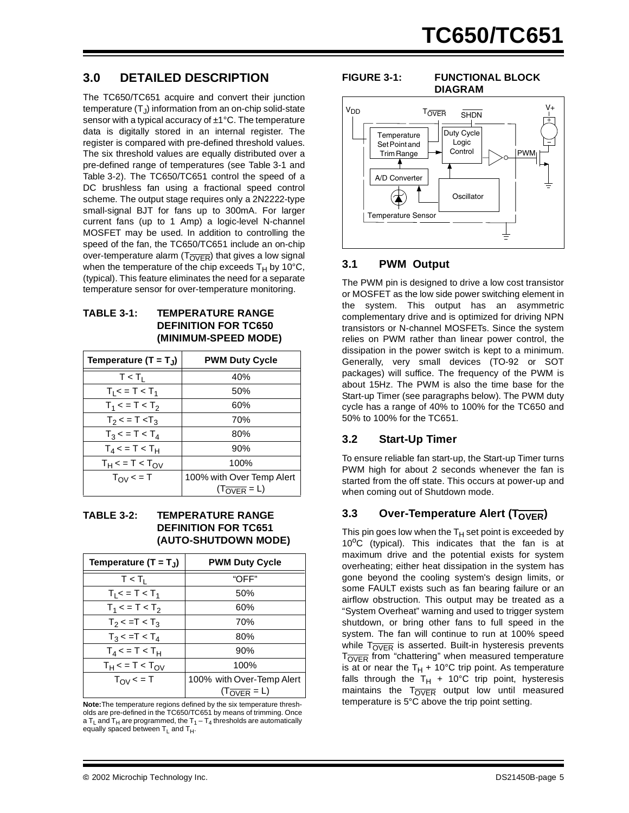#### **3.0 DETAILED DESCRIPTION**

The TC650/TC651 acquire and convert their junction temperature  $(T<sub>1</sub>)$  information from an on-chip solid-state sensor with a typical accuracy of  $\pm 1^{\circ}$ C. The temperature data is digitally stored in an internal register. The register is compared with pre-defined threshold values. The six threshold values are equally distributed over a pre-defined range of temperatures (see Table 3-1 and Table 3-2). The TC650/TC651 control the speed of a DC brushless fan using a fractional speed control scheme. The output stage requires only a 2N2222-type small-signal BJT for fans up to 300mA. For larger current fans (up to 1 Amp) a logic-level N-channel MOSFET may be used. In addition to controlling the speed of the fan, the TC650/TC651 include an on-chip over-temperature alarm  $(T_{\overline{OVER}})$  that gives a low signal when the temperature of the chip exceeds  $T_H$  by 10°C, (typical). This feature eliminates the need for a separate temperature sensor for over-temperature monitoring.

#### **TABLE 3-1: TEMPERATURE RANGE DEFINITION FOR TC650 (MINIMUM-SPEED MODE)**

| Temperature $(T = T_J)$ | <b>PWM Duty Cycle</b>       |  |  |
|-------------------------|-----------------------------|--|--|
| $T < T_1$               | 40%                         |  |  |
| $T_1$ < = T < $T_1$     | 50%                         |  |  |
| $T_1$ < = T < $T_2$     | 60%                         |  |  |
| $T_2$ < = T < $T_3$     | 70%                         |  |  |
| $T_3$ < = T < $T_4$     | 80%                         |  |  |
| $T_4$ < = T < $T_H$     | 90%                         |  |  |
| $T_H$ < = T < $T_{OV}$  | 100%                        |  |  |
| $T_{\text{OV}}$ < = T   | 100% with Over Temp Alert   |  |  |
|                         | $(T_{\overline{OVER}} = L)$ |  |  |

#### **TABLE 3-2: TEMPERATURE RANGE DEFINITION FOR TC651 (AUTO-SHUTDOWN MODE)**

| Temperature $(T = T_1)$       | <b>PWM Duty Cycle</b>       |  |  |
|-------------------------------|-----------------------------|--|--|
| $T < T_1$                     | "OFF"                       |  |  |
| $T_1 < T 1 < T_1$             | 50%                         |  |  |
| $T_1$ < = T < $T_2$           | 60%                         |  |  |
| $T_2$ < =T < $T_3$            | 70%                         |  |  |
| $T_3$ < = T < $T_4$           | 80%                         |  |  |
| $T_4$ < = T < T <sub>H</sub>  | 90%                         |  |  |
| $T_H$ < = T < $T_{\text{OV}}$ | 100%                        |  |  |
| $T_{\text{OV}}$ < = T         | 100% with Over-Temp Alert   |  |  |
|                               | $(T_{\overline{OVER}} = L)$ |  |  |

**Note:**The temperature regions defined by the six temperature thresholds are pre-defined in the TC650/TC651 by means of trimming. Once a T<sub>L</sub> and T<sub>H</sub> are programmed, the  $T_1 - T_4$  thresholds are automatically equally spaced between  $T_L$  and  $T_H$ .

#### **FIGURE 3-1: FUNCTIONAL BLOCK**

### **DIAGRAM** T<sub>OVER</sub> SHDN



#### **3.1 PWM Output**

The PWM pin is designed to drive a low cost transistor or MOSFET as the low side power switching element in the system. This output has an asymmetric complementary drive and is optimized for driving NPN transistors or N-channel MOSFETs. Since the system relies on PWM rather than linear power control, the dissipation in the power switch is kept to a minimum. Generally, very small devices (TO-92 or SOT packages) will suffice. The frequency of the PWM is about 15Hz. The PWM is also the time base for the Start-up Timer (see paragraphs below). The PWM duty cycle has a range of 40% to 100% for the TC650 and 50% to 100% for the TC651.

#### **3.2 Start-Up Timer**

To ensure reliable fan start-up, the Start-up Timer turns PWM high for about 2 seconds whenever the fan is started from the off state. This occurs at power-up and when coming out of Shutdown mode.

#### **3.3** Over-Temperature Alert (T<sub>OVER</sub>)

This pin goes low when the  $T_H$  set point is exceeded by  $10^{\circ}$ C (typical). This indicates that the fan is at maximum drive and the potential exists for system overheating; either heat dissipation in the system has gone beyond the cooling system's design limits, or some FAULT exists such as fan bearing failure or an airflow obstruction. This output may be treated as a "System Overheat" warning and used to trigger system shutdown, or bring other fans to full speed in the system. The fan will continue to run at 100% speed while  $T_{\overline{OVER}}$  is asserted. Built-in hysteresis prevents  $T<sub>over</sub>$  from "chattering" when measured temperature is at or near the  $T_H$  + 10°C trip point. As temperature falls through the  $T_H$  + 10°C trip point, hysteresis maintains the  $T_{\overline{OVER}}$  output low until measured temperature is 5°C above the trip point setting.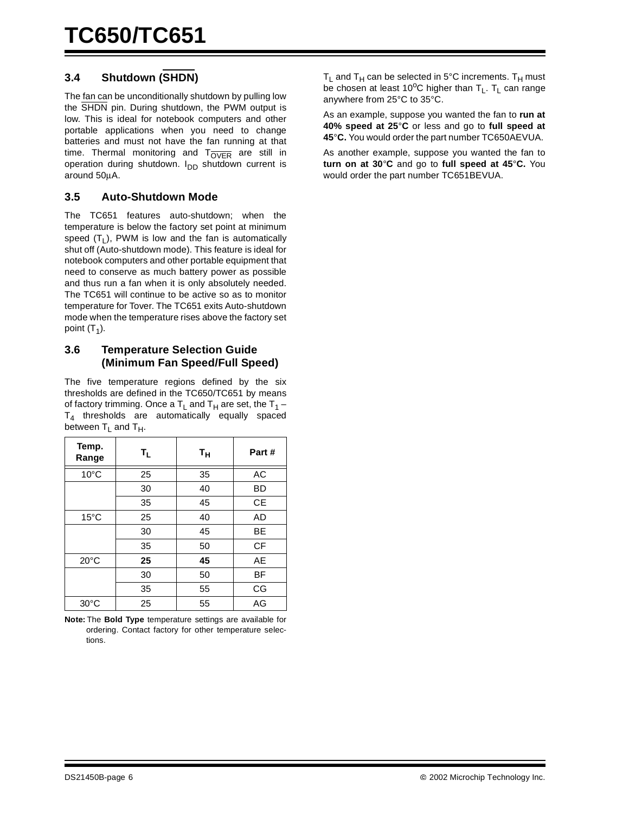#### **3.4 Shutdown (SHDN)**

The fan can be unconditionally shutdown by pulling low the SHDN pin. During shutdown, the PWM output is low. This is ideal for notebook computers and other portable applications when you need to change batteries and must not have the fan running at that time. Thermal monitoring and  $T_{\overline{OVER}}$  are still in operation during shutdown.  $I_{DD}$  shutdown current is around 50µA.

#### **3.5 Auto-Shutdown Mode**

The TC651 features auto-shutdown; when the temperature is below the factory set point at minimum speed  $(T_1)$ , PWM is low and the fan is automatically shut off (Auto-shutdown mode). This feature is ideal for notebook computers and other portable equipment that need to conserve as much battery power as possible and thus run a fan when it is only absolutely needed. The TC651 will continue to be active so as to monitor temperature for Tover. The TC651 exits Auto-shutdown mode when the temperature rises above the factory set point  $(T_1)$ .

#### **3.6 Temperature Selection Guide (Minimum Fan Speed/Full Speed)**

The five temperature regions defined by the six thresholds are defined in the TC650/TC651 by means of factory trimming. Once a  $T_L$  and  $T_H$  are set, the  $T_1$  –  $T<sub>4</sub>$  thresholds are automatically equally spaced between  $T_L$  and  $T_H$ .

| Temp.<br>Range | $T_{\mathsf{L}}$ | $T_{\mathsf{H}}$ | Part#     |
|----------------|------------------|------------------|-----------|
| $10^{\circ}$ C | 25               | 35               | AC        |
|                | 30               | 40               | BD        |
|                | 35               | 45               | <b>CE</b> |
| $15^{\circ}$ C | 25               | 40               | AD        |
|                | 30               | 45               | BЕ        |
|                | 35               | 50               | <b>CF</b> |
| $20^{\circ}$ C | 25               | 45               | AE        |
|                | 30               | 50               | ВF        |
|                | 35               | 55               | CG        |
| $30^{\circ}$ C | 25               | 55               | AG        |

**Note:** The **Bold Type** temperature settings are available for ordering. Contact factory for other temperature selections.

 $T_L$  and  $T_H$  can be selected in 5°C increments.  $T_H$  must be chosen at least 10<sup>o</sup>C higher than  $T_L$ .  $T_L$  can range anywhere from 25°C to 35°C.

As an example, suppose you wanted the fan to **run at 40% speed at 25**°**C** or less and go to **full speed at 45**°**C.** You would order the part number TC650AEVUA.

As another example, suppose you wanted the fan to **turn on at 30**°**C** and go to **full speed at 45**°**C.** You would order the part number TC651BEVUA.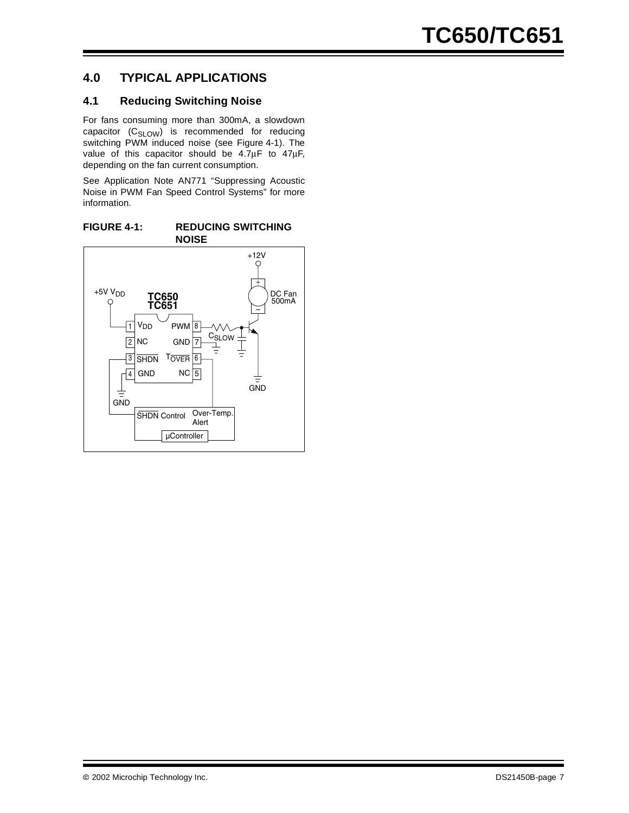#### **4.0 TYPICAL APPLICATIONS**

#### **4.1 Reducing Switching Noise**

For fans consuming more than 300mA, a slowdown capacitor (C<sub>SLOW</sub>) is recommended for reducing switching PWM induced noise (see Figure 4-1). The value of this capacitor should be 4.7µF to 47µF, depending on the fan current consumption.

See Application Note AN771 "Suppressing Acoustic Noise in PWM Fan Speed Control Systems" for more information.

**FIGURE 4-1: REDUCING SWITCHING NOISE**

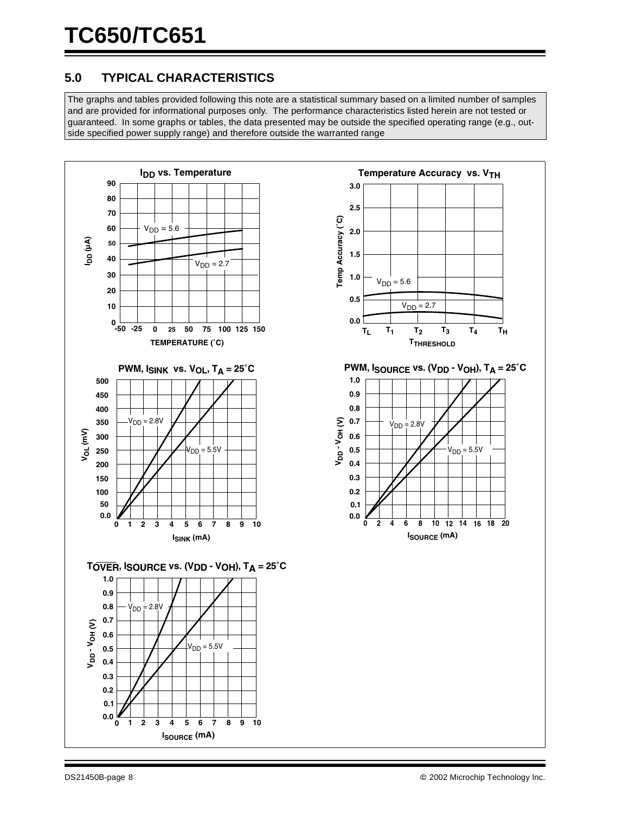#### **5.0 TYPICAL CHARACTERISTICS**

The graphs and tables provided following this note are a statistical summary based on a limited number of samples and are provided for informational purposes only. The performance characteristics listed herein are not tested or guaranteed. In some graphs or tables, the data presented may be outside the specified operating range (e.g., outside specified power supply range) and therefore outside the warranted range

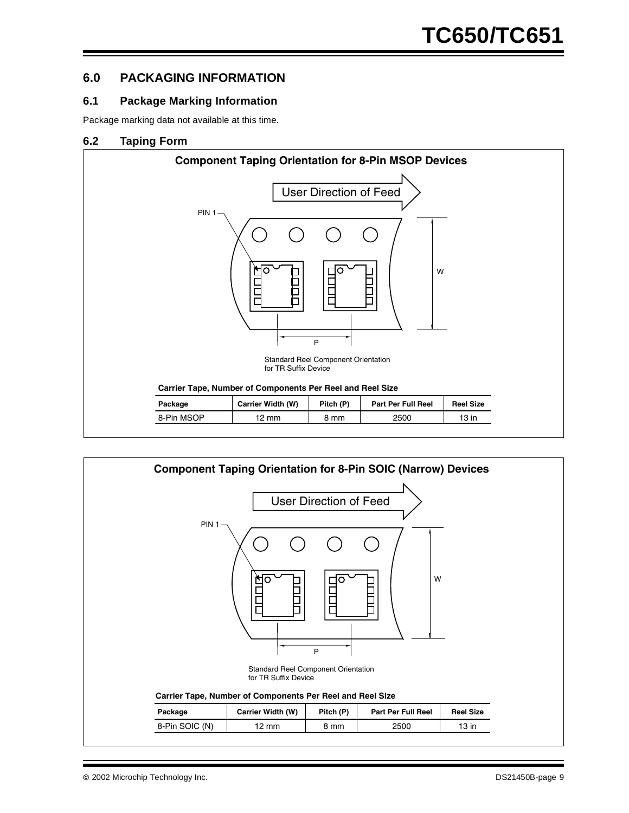#### **6.0 PACKAGING INFORMATION**

#### **6.1 Package Marking Information**

Package marking data not available at this time.

#### **6.2 Taping Form**



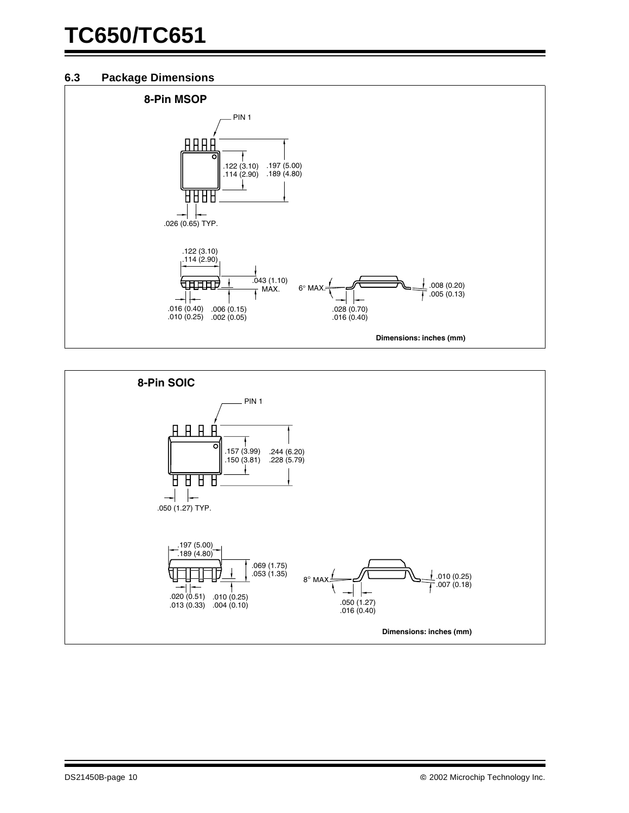#### **6.3 Package Dimensions**



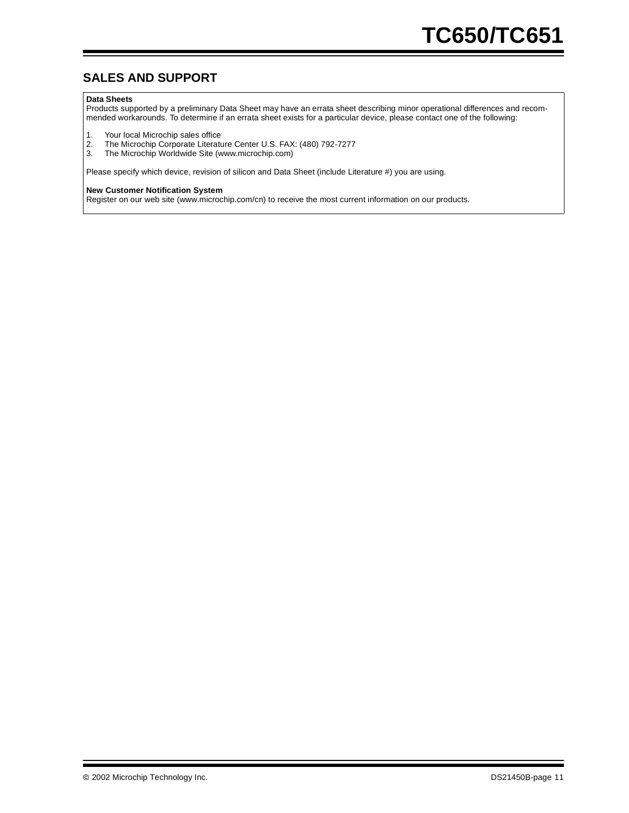#### **SALES AND SUPPORT**

#### **Data Sheets**

Products supported by a preliminary Data Sheet may have an errata sheet describing minor operational differences and recommended workarounds. To determine if an errata sheet exists for a particular device, please contact one of the following:

- 1. Your local Microchip sales office<br>2. The Microchip Corporate Literatu
- 2. The Microchip Corporate Literature Center U.S. FAX: (480) 792-7277<br>3. The Microchip Worldwide Site (www.microchip.com)
- The Microchip Worldwide Site (www.microchip.com)

Please specify which device, revision of silicon and Data Sheet (include Literature #) you are using.

#### **New Customer Notification System**

Register on our web site (www.microchip.com/cn) to receive the most current information on our products.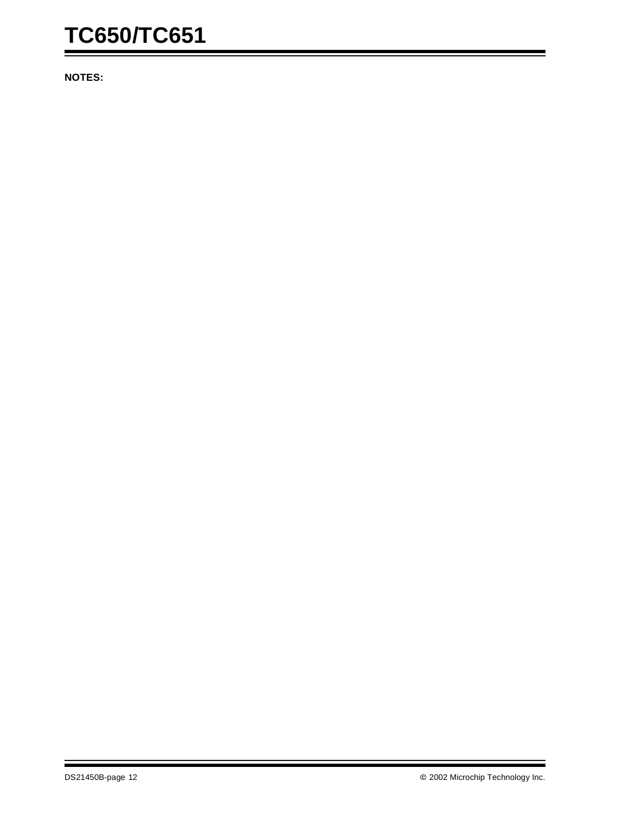## **TC650/TC651**

**NOTES:**

Ξ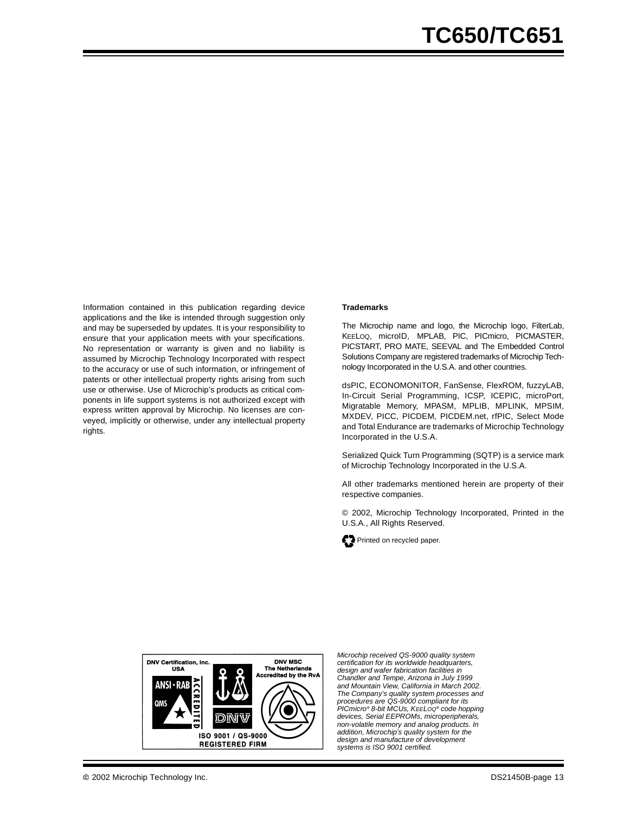Information contained in this publication regarding device applications and the like is intended through suggestion only and may be superseded by updates. It is your responsibility to ensure that your application meets with your specifications. No representation or warranty is given and no liability is assumed by Microchip Technology Incorporated with respect to the accuracy or use of such information, or infringement of patents or other intellectual property rights arising from such use or otherwise. Use of Microchip's products as critical components in life support systems is not authorized except with express written approval by Microchip. No licenses are conveyed, implicitly or otherwise, under any intellectual property rights.

#### **Trademarks**

The Microchip name and logo, the Microchip logo, FilterLab, KEELOQ, microID, MPLAB, PIC, PICmicro, PICMASTER, PICSTART, PRO MATE, SEEVAL and The Embedded Control Solutions Company are registered trademarks of Microchip Technology Incorporated in the U.S.A. and other countries.

dsPIC, ECONOMONITOR, FanSense, FlexROM, fuzzyLAB, In-Circuit Serial Programming, ICSP, ICEPIC, microPort, Migratable Memory, MPASM, MPLIB, MPLINK, MPSIM, MXDEV, PICC, PICDEM, PICDEM.net, rfPIC, Select Mode and Total Endurance are trademarks of Microchip Technology Incorporated in the U.S.A.

Serialized Quick Turn Programming (SQTP) is a service mark of Microchip Technology Incorporated in the U.S.A.

All other trademarks mentioned herein are property of their respective companies.

© 2002, Microchip Technology Incorporated, Printed in the U.S.A., All Rights Reserved.





*Microchip received QS-9000 quality system certification for its worldwide headquarters, design and wafer fabrication facilities in Chandler and Tempe, Arizona in July 1999 and Mountain View, California in March 2002. The Company's quality system processes and procedures are QS-9000 compliant for its PICmicro® 8-bit MCUs, KEELOQ® code hopping devices, Serial EEPROMs, microperipherals, non-volatile memory and analog products. In addition, Microchip's quality system for the design and manufacture of development systems is ISO 9001 certified.*